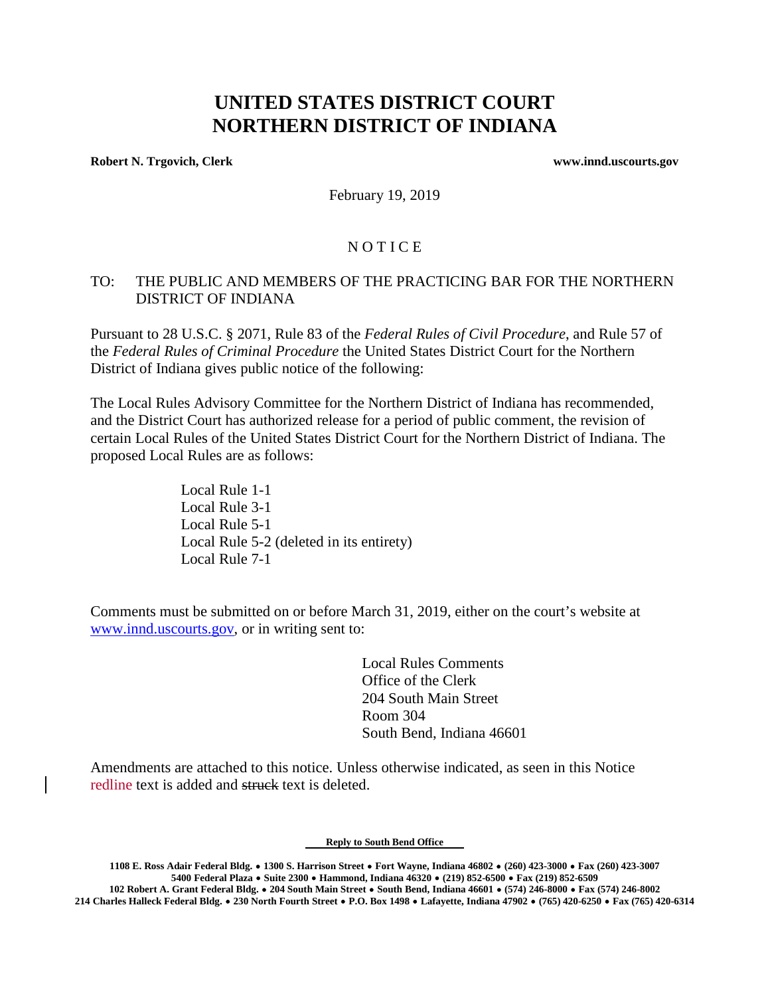# **UNITED STATES DISTRICT COURT NORTHERN DISTRICT OF INDIANA**

**Robert N. Trgovich, Clerk www.innd.uscourts.gov**

February 19, 2019

## **NOTICE**

#### TO: THE PUBLIC AND MEMBERS OF THE PRACTICING BAR FOR THE NORTHERN DISTRICT OF INDIANA

Pursuant to 28 U.S.C. § 2071, Rule 83 of the *Federal Rules of Civil Procedure*, and Rule 57 of the *Federal Rules of Criminal Procedure* the United States District Court for the Northern District of Indiana gives public notice of the following:

The Local Rules Advisory Committee for the Northern District of Indiana has recommended, and the District Court has authorized release for a period of public comment, the revision of certain Local Rules of the United States District Court for the Northern District of Indiana. The proposed Local Rules are as follows:

> Local Rule 1-1 Local Rule 3-1 Local Rule 5-1 Local Rule 5-2 (deleted in its entirety) Local Rule 7-1

Comments must be submitted on or before March 31, 2019, either on the court's website at [www.innd.uscourts.gov,](http://www.innd.uscourts.gov/) or in writing sent to:

> Local Rules Comments Office of the Clerk 204 South Main Street Room 304 South Bend, Indiana 46601

Amendments are attached to this notice. Unless otherwise indicated, as seen in this Notice redline text is added and struck text is deleted.

**Reply to South Bend Office**

**1108 E. Ross Adair Federal Bldg.** \$ **1300 S. Harrison Street** \$ **Fort Wayne, Indiana 46802** \$ **(260) 423-3000** \$ **Fax (260) 423-3007 5400 Federal Plaza** \$ **Suite 2300** \$ **Hammond, Indiana 46320** \$ **(219) 852-6500** \$ **Fax (219) 852-6509**

**102 Robert A. Grant Federal Bldg.** \$ **204 South Main Street** \$ **South Bend, Indiana 46601** \$ **(574) 246-8000** \$ **Fax (574) 246-8002 214 Charles Halleck Federal Bldg.** \$ **230 North Fourth Street** \$ **P.O. Box 1498** \$ **Lafayette, Indiana 47902** \$ **(765) 420-6250** \$ **Fax (765) 420-6314**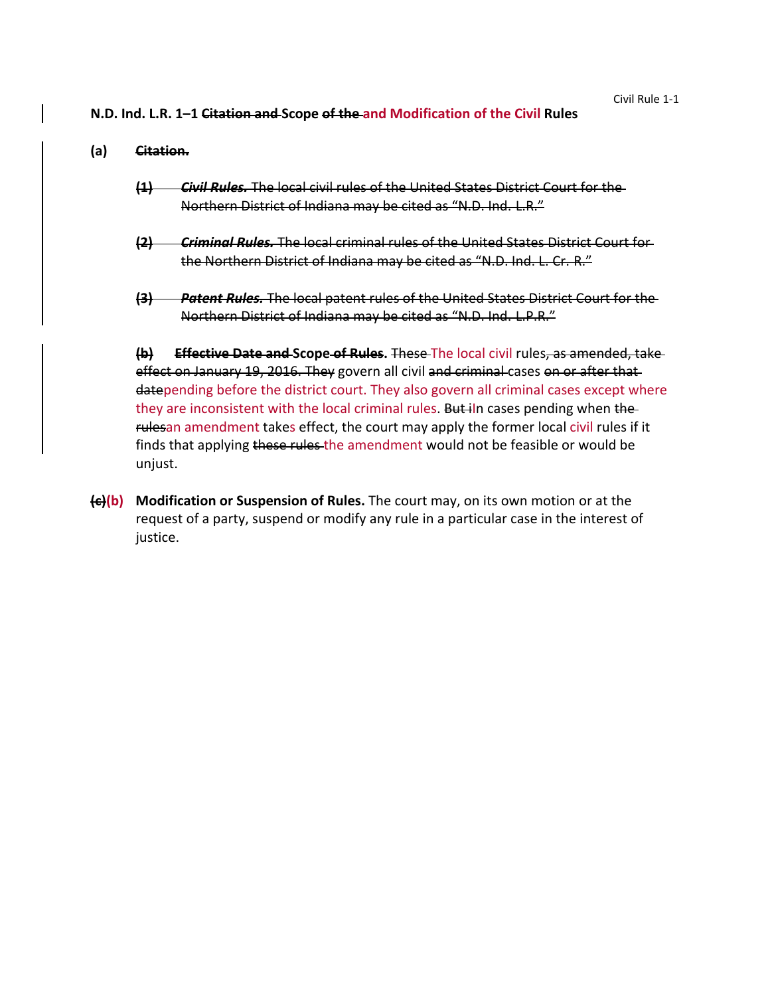#### **N.D. Ind. L.R. 1–1 Citation and Scope of the and Modification of the Civil Rules**

## **(a) Citation.**

- **(1)** *Civil Rules.* The local civil rules of the United States District Court for the Northern District of Indiana may be cited as "N.D. Ind. L.R."
- **(2)** *Criminal Rules.* The local criminal rules of the United States District Court for the Northern District of Indiana may be cited as "N.D. Ind. L. Cr. R."
- **(3)** *Patent Rules.* The local patent rules of the United States District Court for the Northern District of Indiana may be cited as "N.D. Ind. L.P.R."

**(b) Effective Date and Scope of Rules.** These The local civil rules, as amended, take effect on January 19, 2016. They govern all civil and criminal cases on or after that datepending before the district court. They also govern all criminal cases except where they are inconsistent with the local criminal rules. But iln cases pending when the rulesan amendment takes effect, the court may apply the former local civil rules if it finds that applying these rules the amendment would not be feasible or would be unjust.

**(c)(b) Modification or Suspension of Rules.** The court may, on its own motion or at the request of a party, suspend or modify any rule in a particular case in the interest of justice.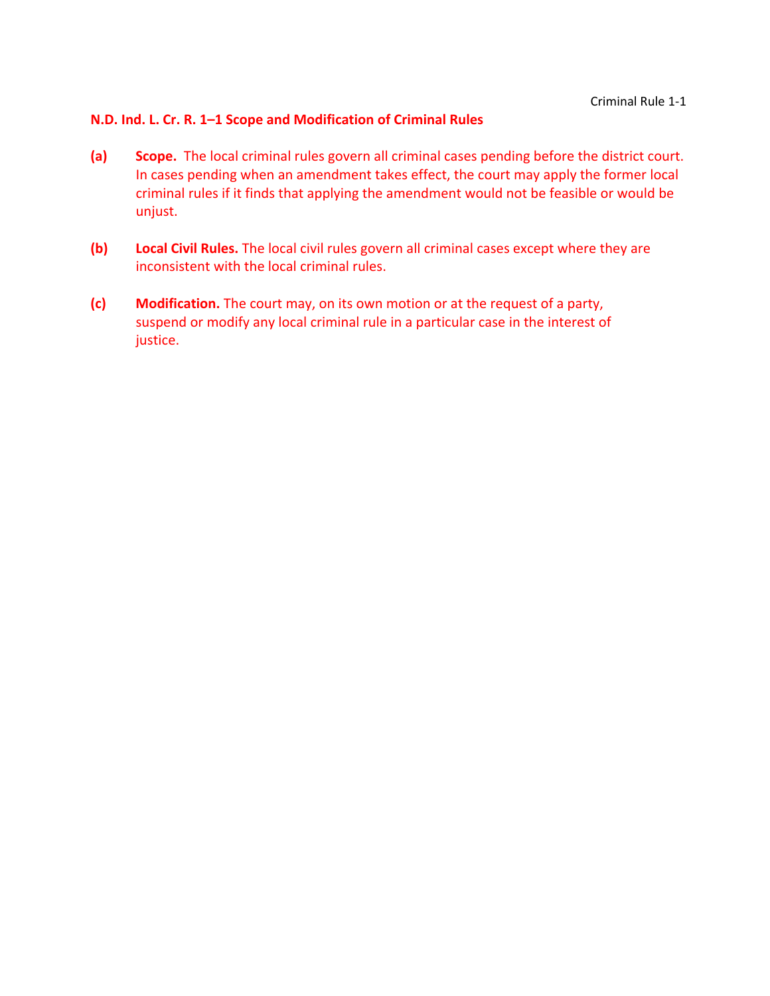## **N.D. Ind. L. Cr. R. 1–1 Scope and Modification of Criminal Rules**

- **(a) Scope.** The local criminal rules govern all criminal cases pending before the district court. In cases pending when an amendment takes effect, the court may apply the former local criminal rules if it finds that applying the amendment would not be feasible or would be unjust.
- **(b) Local Civil Rules.** The local civil rules govern all criminal cases except where they are inconsistent with the local criminal rules.
- **(c) Modification.** The court may, on its own motion or at the request of a party, suspend or modify any local criminal rule in a particular case in the interest of justice.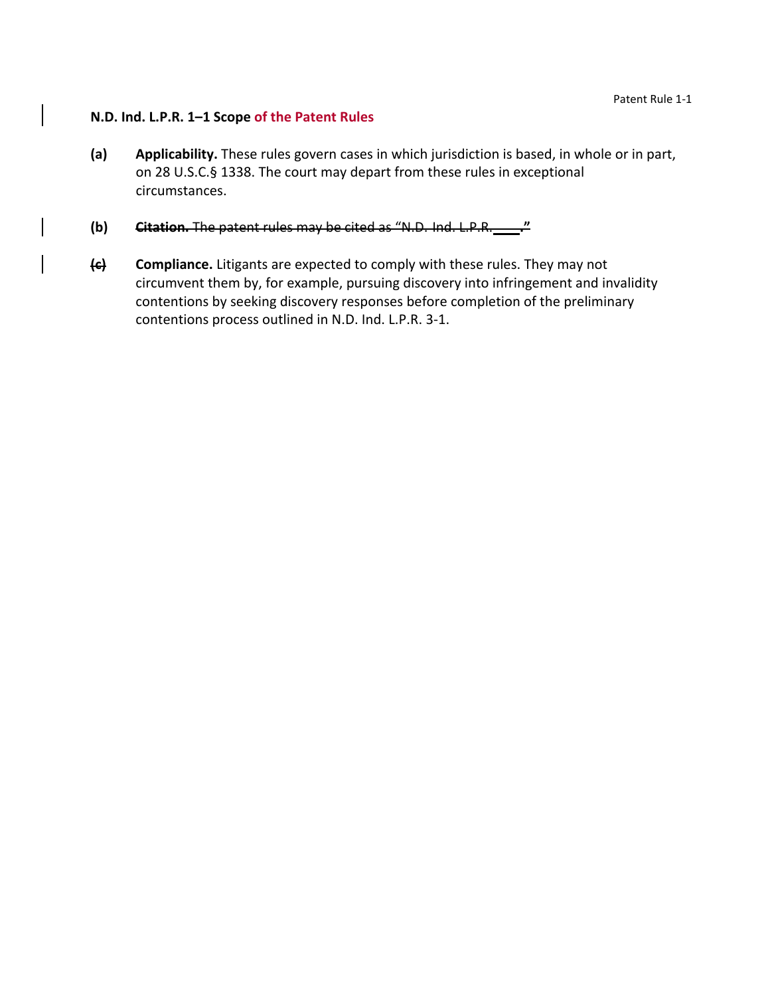## **N.D. Ind. L.P.R. 1–1 Scope of the Patent Rules**

- **(a) Applicability.** These rules govern cases in which jurisdiction is based, in whole or in part, on 28 U.S.C.§ 1338. The court may depart from these rules in exceptional circumstances.
- **(b) Citation.** The patent rules may be cited as "N.D. Ind. L.P.R. **."**
- **(c) Compliance.** Litigants are expected to comply with these rules. They may not circumvent them by, for example, pursuing discovery into infringement and invalidity contentions by seeking discovery responses before completion of the preliminary contentions process outlined in N.D. Ind. L.P.R. 3‐1.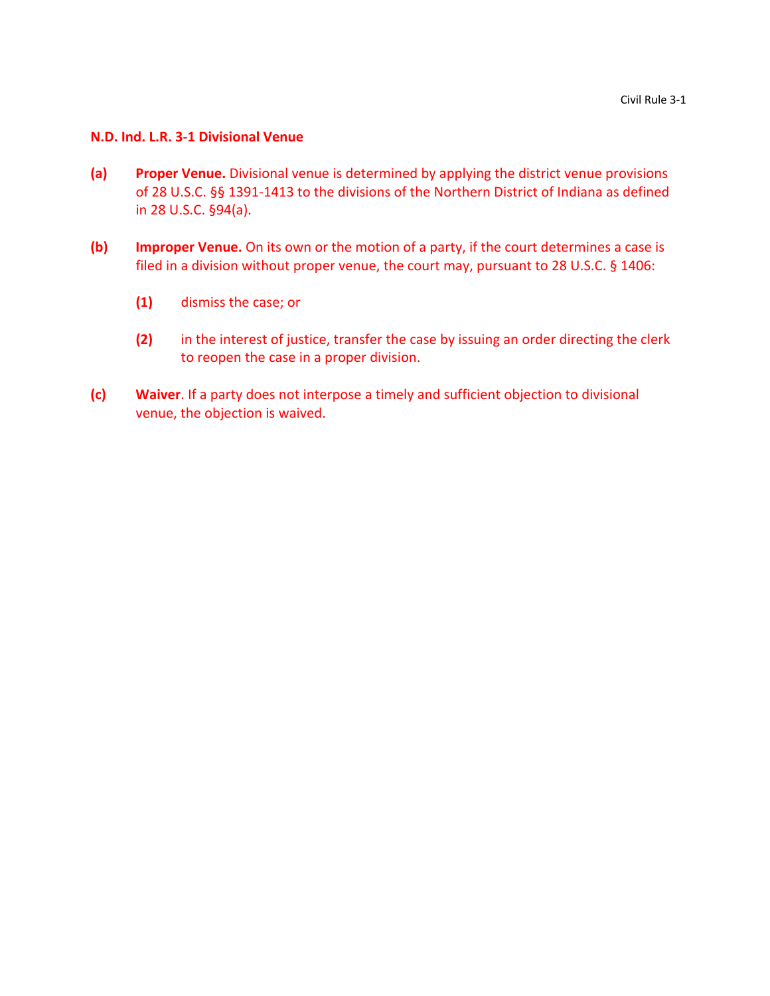#### **N.D. Ind. L.R. 3‐1 Divisional Venue**

- **(a) Proper Venue.** Divisional venue is determined by applying the district venue provisions of 28 U.S.C. §§ 1391‐1413 to the divisions of the Northern District of Indiana as defined in 28 U.S.C. §94(a).
- **(b) Improper Venue.** On its own or the motion of a party, if the court determines a case is filed in a division without proper venue, the court may, pursuant to 28 U.S.C. § 1406:
	- **(1)** dismiss the case; or
	- **(2)** in the interest of justice, transfer the case by issuing an order directing the clerk to reopen the case in a proper division.
- **(c) Waiver**. If a party does not interpose a timely and sufficient objection to divisional venue, the objection is waived.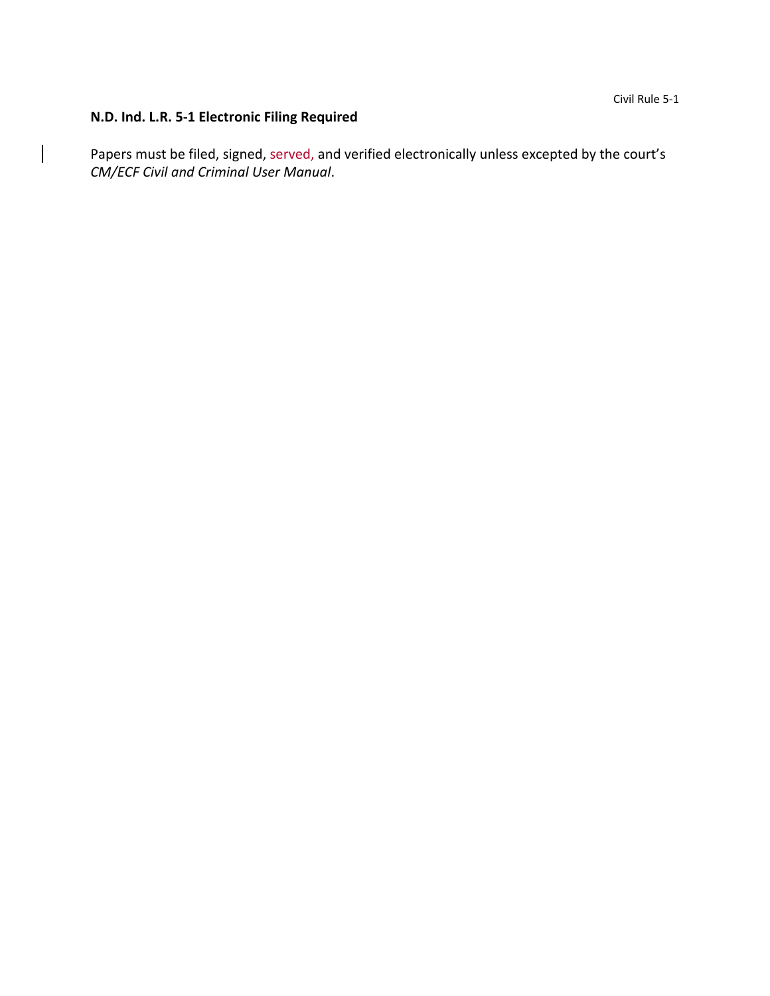# **N.D. Ind. L.R. 5‐1 Electronic Filing Required**

 $\mathsf{I}$ 

Papers must be filed, signed, served, and verified electronically unless excepted by the court's *CM/ECF Civil and Criminal User Manual*.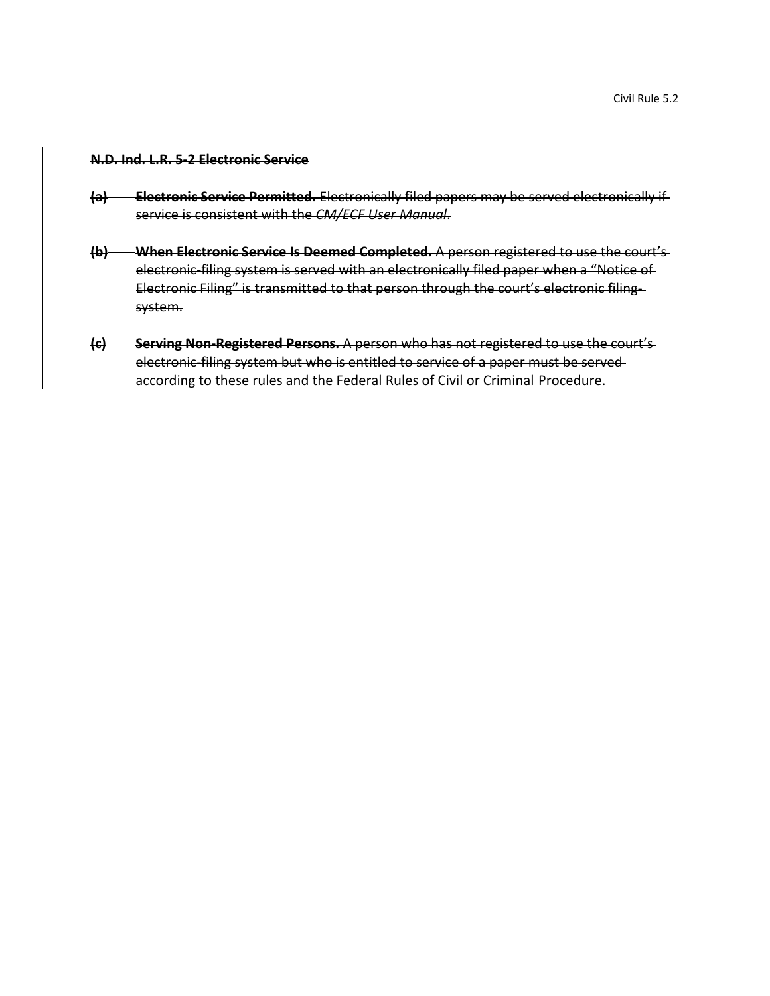#### **N.D. Ind. L.R. 5‐2 Electronic Service**

- **(a) Electronic Service Permitted.** Electronically filed papers may be served electronically if service is consistent with the *CM/ECF User Manual*.
- **(b) When Electronic Service Is Deemed Completed.** A person registered to use the court's electronic filing system is served with an electronically filed paper when a "Notice of Electronic Filing" is transmitted to that person through the court's electronic filingsystem.
- **(c) Serving Non‐Registered Persons.** A person who has not registered to use the court's electronic-filing system but who is entitled to service of a paper must be servedaccording to these rules and the Federal Rules of Civil or Criminal Procedure.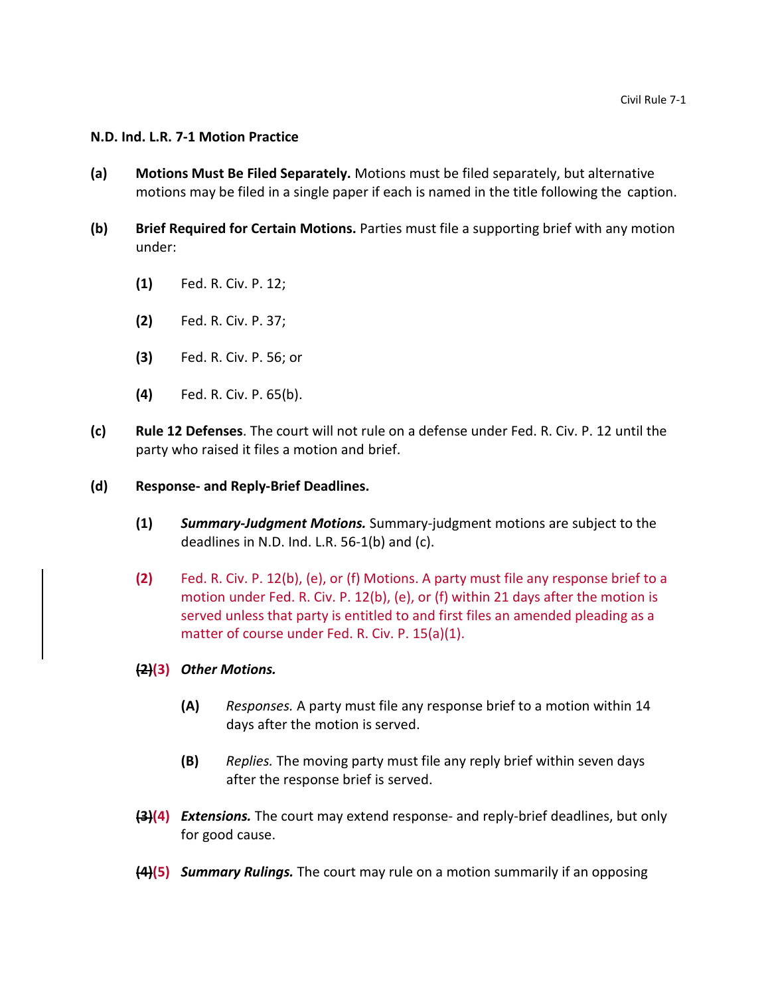#### **N.D. Ind. L.R. 7-1 Motion Practice**

- **(a) Motions Must Be Filed Separately.** Motions must be filed separately, but alternative motions may be filed in a single paper if each is named in the title following the caption.
- **(b) Brief Required for Certain Motions.** Parties must file a supporting brief with any motion under:
	- **(1)** Fed. R. Civ. P. 12;
	- **(2)** Fed. R. Civ. P. 37;
	- **(3)** Fed. R. Civ. P. 56; or
	- **(4)** Fed. R. Civ. P. 65(b).
- **(c) Rule 12 Defenses**. The court will not rule on a defense under Fed. R. Civ. P. 12 until the party who raised it files a motion and brief.
- **(d) Response- and Reply-Brief Deadlines.**
	- **(1)** *Summary-Judgment Motions.* Summary-judgment motions are subject to the deadlines in N.D. Ind. L.R. 56-1(b) and (c).
	- **(2)** Fed. R. Civ. P. 12(b), (e), or (f) Motions. A party must file any response brief to a motion under Fed. R. Civ. P. 12(b), (e), or (f) within 21 days after the motion is served unless that party is entitled to and first files an amended pleading as a matter of course under Fed. R. Civ. P. 15(a)(1).
	- **(2)(3)** *Other Motions.*
		- **(A)** *Responses.* A party must file any response brief to a motion within 14 days after the motion is served.
		- **(B)** *Replies.* The moving party must file any reply brief within seven days after the response brief is served.
	- **(3)(4)** *Extensions.* The court may extend response- and reply-brief deadlines, but only for good cause.
	- **(4)(5)** *Summary Rulings.* The court may rule on a motion summarily if an opposing